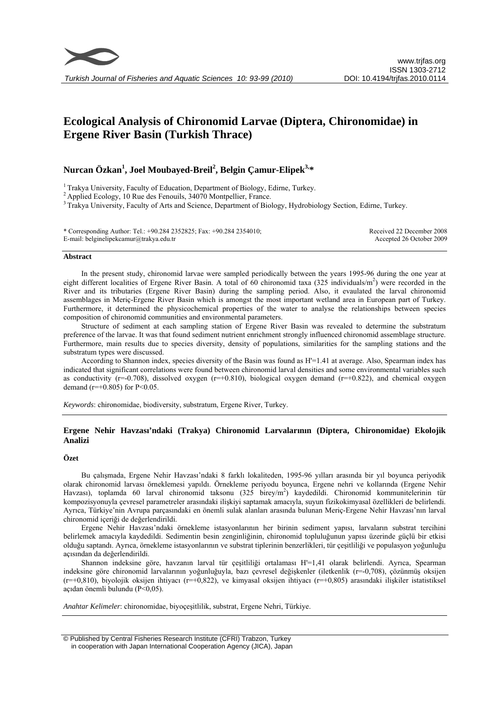

# **Ecological Analysis of Chironomid Larvae (Diptera, Chironomidae) in Ergene River Basin (Turkish Thrace)**

## **Nurcan Özkan1 , Joel Moubayed-Breil2 , Belgin Çamur-Elipek3,\***

<sup>1</sup> Trakya University, Faculty of Education, Department of Biology, Edirne, Turkey.<br><sup>2</sup> Applied Ecology, 10 Rue des Fenouils, 34070 Montpellier, France.

<sup>3</sup> Trakya University, Faculty of Arts and Science, Department of Biology, Hydrobiology Section, Edirne, Turkey.

\* Corresponding Author: Tel.: +90.284 2352825; Fax: +90.284 2354010; E-mail: belginelipekcamur@trakya.edu.tr

Received 22 December 2008 Accepted 26 October 2009

#### **Abstract**

In the present study, chironomid larvae were sampled periodically between the years 1995-96 during the one year at eight different localities of Ergene River Basin. A total of 60 chironomid taxa (325 individuals/m<sup>2</sup>) were recorded in the River and its tributaries (Ergene River Basin) during the sampling period. Also, it evaulated the larval chironomid assemblages in Meriç-Ergene River Basin which is amongst the most important wetland area in European part of Turkey. Furthermore, it determined the physicochemical properties of the water to analyse the relationships between species composition of chironomid communities and environmental parameters.

Structure of sediment at each sampling station of Ergene River Basin was revealed to determine the substratum preference of the larvae. It was that found sediment nutrient enrichment strongly influenced chironomid assemblage structure. Furthermore, main results due to species diversity, density of populations, similarities for the sampling stations and the substratum types were discussed.

According to Shannon index, species diversity of the Basin was found as H'=1.41 at average. Also, Spearman index has indicated that significant correlations were found between chironomid larval densities and some environmental variables such as conductivity ( $r=-0.708$ ), dissolved oxygen  $(r=+0.810)$ , biological oxygen demand ( $r=+0.822$ ), and chemical oxygen demand ( $r=+0.805$ ) for P<0.05.

*Keywords*: chironomidae, biodiversity, substratum, Ergene River, Turkey.

### **Ergene Nehir Havzası'ndaki (Trakya) Chironomid Larvalarının (Diptera, Chironomidae) Ekolojik Analizi**

### **Özet**

Bu çalışmada, Ergene Nehir Havzası'ndaki 8 farklı lokaliteden, 1995-96 yılları arasında bir yıl boyunca periyodik olarak chironomid larvası örneklemesi yapıldı. Örnekleme periyodu boyunca, Ergene nehri ve kollarında (Ergene Nehir Havzası), toplamda 60 larval chironomid taksonu (325 birey/m<sup>2</sup>) kaydedildi. Chironomid kommunitelerinin tür kompozisyonuyla çevresel parametreler arasındaki ilişkiyi saptamak amacıyla, suyun fizikokimyasal özellikleri de belirlendi. Ayrıca, Türkiye'nin Avrupa parçasındaki en önemli sulak alanları arasında bulunan Meriç-Ergene Nehir Havzası'nın larval chironomid içeriği de değerlendirildi.

Ergene Nehir Havzası'ndaki örnekleme istasyonlarının her birinin sediment yapısı, larvaların substrat tercihini belirlemek amacıyla kaydedildi. Sedimentin besin zenginliğinin, chironomid topluluğunun yapısı üzerinde güçlü bir etkisi olduğu saptandı. Ayrıca, örnekleme istasyonlarının ve substrat tiplerinin benzerlikleri, tür çeşitliliği ve populasyon yoğunluğu açısından da değerlendirildi.

Shannon indeksine göre, havzanın larval tür çeşitliliği ortalaması H'=1,41 olarak belirlendi. Ayrıca, Spearman indeksine göre chironomid larvalarının yoğunluğuyla, bazı çevresel değişkenler (iletkenlik (r=-0,708), çözünmüş oksijen  $(r=+0.810)$ , biyolojik oksijen ihtiyacı  $(r=+0.822)$ , ve kimyasal oksijen ihtiyacı  $(r=+0.805)$  arasındaki ilişkiler istatistiksel açıdan önemli bulundu (P<0,05).

*Anahtar Kelimeler*: chironomidae, biyoçeşitlilik, substrat, Ergene Nehri, Türkiye.

 © Published by Central Fisheries Research Institute (CFRI) Trabzon, Turkey in cooperation with Japan International Cooperation Agency (JICA), Japan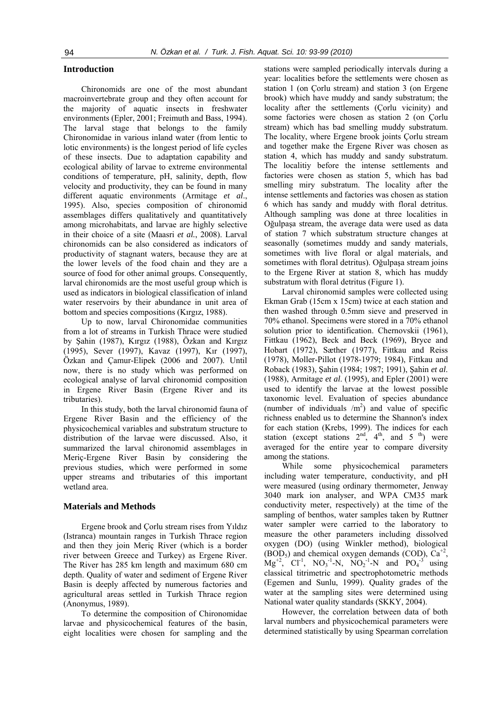### **Introduction**

Chironomids are one of the most abundant macroinvertebrate group and they often account for the majority of aquatic insects in freshwater environments (Epler, 2001; Freimuth and Bass, 1994). The larval stage that belongs to the family Chironomidae in various inland water (from lentic to lotic environments) is the longest period of life cycles of these insects. Due to adaptation capability and ecological ability of larvae to extreme environmental conditions of temperature, pH, salinity, depth, flow velocity and productivity, they can be found in many different aquatic environments (Armitage *et al*., 1995). Also, species composition of chironomid assemblages differs qualitatively and quantitatively among microhabitats, and larvae are highly selective in their choice of a site (Maasri *et al.*, 2008). Larval chironomids can be also considered as indicators of productivity of stagnant waters, because they are at the lower levels of the food chain and they are a source of food for other animal groups. Consequently, larval chironomids are the most useful group which is used as indicators in biological classification of inland water reservoirs by their abundance in unit area of bottom and species compositions (Kırgız, 1988).

Up to now, larval Chironomidae communities from a lot of streams in Turkish Thrace were studied by Şahin (1987), Kırgız (1988), Özkan and Kırgız (1995), Sever (1997), Kavaz (1997), Kır (1997), Özkan and Çamur-Elipek (2006 and 2007). Until now, there is no study which was performed on ecological analyse of larval chironomid composition in Ergene River Basin (Ergene River and its tributaries).

In this study, both the larval chironomid fauna of Ergene River Basin and the efficiency of the physicochemical variables and substratum structure to distribution of the larvae were discussed. Also, it summarized the larval chironomid assemblages in Meriç-Ergene River Basin by considering the previous studies, which were performed in some upper streams and tributaries of this important wetland area.

#### **Materials and Methods**

Ergene brook and Çorlu stream rises from Yıldız (Istranca) mountain ranges in Turkish Thrace region and then they join Meriç River (which is a border river between Greece and Turkey) as Ergene River. The River has 285 km length and maximum 680 cm depth. Quality of water and sediment of Ergene River Basin is deeply affected by numerous factories and agricultural areas settled in Turkish Thrace region (Anonymus, 1989).

To determine the composition of Chironomidae larvae and physicochemical features of the basin, eight localities were chosen for sampling and the

stations were sampled periodically intervals during a year: localities before the settlements were chosen as station 1 (on Çorlu stream) and station 3 (on Ergene brook) which have muddy and sandy substratum; the locality after the settlements (Çorlu vicinity) and some factories were chosen as station 2 (on Çorlu stream) which has bad smelling muddy substratum. The locality, where Ergene brook joints Çorlu stream and together make the Ergene River was chosen as station 4, which has muddy and sandy substratum. The localitiy before the intense settlements and factories were chosen as station 5, which has bad smelling miry substratum. The locality after the intense settlements and factories was chosen as station 6 which has sandy and muddy with floral detritus. Although sampling was done at three localities in Oğulpaşa stream, the average data were used as data of station 7 which substratum structure changes at seasonally (sometimes muddy and sandy materials, sometimes with live floral or algal materials, and sometimes with floral detritus). Oğulpaşa stream joins to the Ergene River at station 8, which has muddy substratum with floral detritus (Figure 1).

Larval chironomid samples were collected using Ekman Grab (15cm x 15cm) twice at each station and then washed through 0.5mm sieve and preserved in 70% ethanol. Specimens were stored in a 70% ethanol solution prior to identification. Chernovskii (1961), Fittkau (1962), Beck and Beck (1969), Bryce and Hobart (1972), Sæther (1977), Fittkau and Reiss (1978), Moller-Pillot (1978-1979; 1984), Fittkau and Roback (1983), Şahin (1984; 1987; 1991), Şahin *et al*. (1988), Armitage *et al*. (1995), and Epler (2001) were used to identify the larvae at the lowest possible taxonomic level. Evaluation of species abundance (number of individuals  $/m<sup>2</sup>$ ) and value of specific richness enabled us to determine the Shannon's index for each station (Krebs, 1999). The indices for each station (except stations  $2<sup>nd</sup>$ ,  $4<sup>th</sup>$ , and  $5<sup>th</sup>$ ) were averaged for the entire year to compare diversity among the stations.

While some physicochemical parameters including water temperature, conductivity, and pH were measured (using ordinary thermometer, Jenway 3040 mark ion analyser, and WPA CM35 mark conductivity meter, respectively) at the time of the sampling of benthos, water samples taken by Ruttner water sampler were carried to the laboratory to measure the other parameters including dissolved oxygen (DO) (using Winkler method), biological  $(BOD<sub>5</sub>)$  and chemical oxygen demands (COD),  $Ca<sup>+2</sup>$ ,  $Mg^{+2}$ ,  $Cl^{-1}$ ,  $NO_3^{-1}$ -N,  $NO_2^{-1}$ -N and  $PO_4^{-3}$  using classical titrimetric and spectrophotometric methods (Egemen and Sunlu, 1999). Quality grades of the water at the sampling sites were determined using National water quality standards (SKKY, 2004).

However, the correlation between data of both larval numbers and physicochemical parameters were determined statistically by using Spearman correlation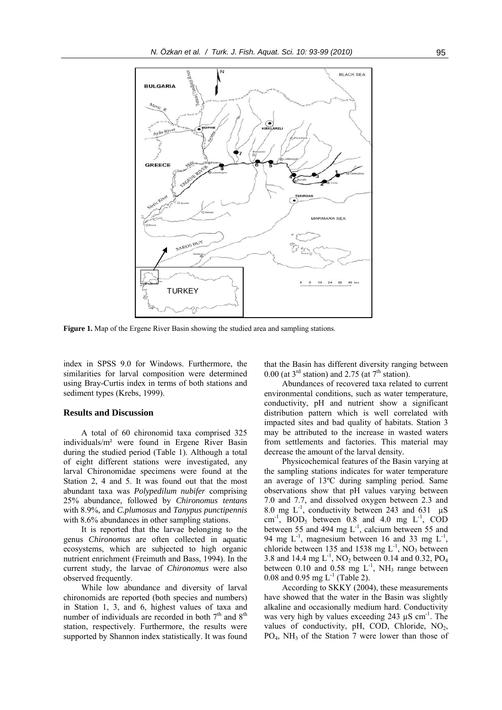

**Figure 1.** Map of the Ergene River Basin showing the studied area and sampling stations.

index in SPSS 9.0 for Windows. Furthermore, the similarities for larval composition were determined using Bray-Curtis index in terms of both stations and sediment types (Krebs, 1999).

#### **Results and Discussion**

A total of 60 chironomid taxa comprised 325 individuals/m² were found in Ergene River Basin during the studied period (Table 1). Although a total of eight different stations were investigated, any larval Chironomidae specimens were found at the Station 2, 4 and 5. It was found out that the most abundant taxa was *Polypedilum nubifer* comprising 25% abundance, followed by *Chironomus tentans* with 8.9%*,* and *C.plumosus* and *Tanypus punctipennis*  with 8.6% abundances in other sampling stations.

It is reported that the larvae belonging to the genus *Chironomus* are often collected in aquatic ecosystems, which are subjected to high organic nutrient enrichment (Freimuth and Bass, 1994). In the current study, the larvae of *Chironomus* were also observed frequently.

While low abundance and diversity of larval chironomids are reported (both species and numbers) in Station 1, 3, and 6, highest values of taxa and number of individuals are recorded in both  $7<sup>th</sup>$  and  $8<sup>th</sup>$ station, respectively. Furthermore, the results were supported by Shannon index statistically. It was found that the Basin has different diversity ranging between 0.00 (at  $3^{\text{rd}}$  station) and 2.75 (at  $7^{\text{th}}$  station).

Abundances of recovered taxa related to current environmental conditions, such as water temperature, conductivity, pH and nutrient show a significant distribution pattern which is well correlated with impacted sites and bad quality of habitats. Station 3 may be attributed to the increase in wasted waters from settlements and factories. This material may decrease the amount of the larval density.

Physicochemical features of the Basin varying at the sampling stations indicates for water temperature an average of 13ºC during sampling period. Same observations show that pH values varying between 7.0 and 7.7, and dissolved oxygen between 2.3 and 8.0 mg  $L^{-1}$ , conductivity between 243 and 631  $\mu$ S cm<sup>-1</sup>, BOD<sub>5</sub> between 0.8 and 4.0 mg  $L^{-1}$ , COD between 55 and 494 mg L<sup>-1</sup>, calcium between 55 and 94 mg  $L^{-1}$ , magnesium between 16 and 33 mg  $L^{-1}$ , chloride between 135 and 1538 mg  $L^{-1}$ , NO<sub>3</sub> between 3.8 and 14.4 mg  $L^{-1}$ , NO<sub>2</sub> between 0.14 and 0.32, PO<sub>4</sub> between 0.10 and 0.58 mg  $L^{-1}$ , NH<sub>3</sub> range between 0.08 and 0.95 mg  $L^{-1}$  (Table 2).

According to SKKY (2004), these measurements have showed that the water in the Basin was slightly alkaline and occasionally medium hard. Conductivity was very high by values exceeding  $243 \mu S \text{ cm}^{-1}$ . The values of conductivity, pH, COD, Chloride,  $NO<sub>2</sub>$ ,  $PO<sub>4</sub>$ , NH<sub>3</sub> of the Station 7 were lower than those of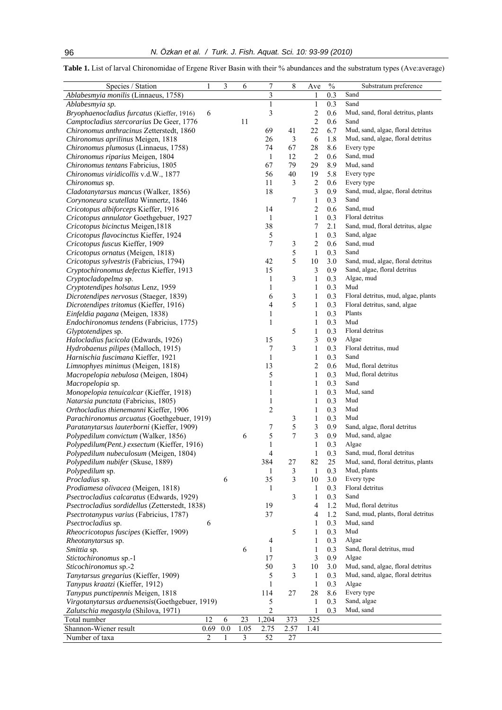| Species / Station                                                           | 1    | 3   | 6    | 7                        | 8              | Ave                          | $\frac{0}{0}$ | Substratum preference               |
|-----------------------------------------------------------------------------|------|-----|------|--------------------------|----------------|------------------------------|---------------|-------------------------------------|
| Ablabesmyia monilis (Linnaeus, 1758)                                        |      |     |      | 3                        |                |                              | 0.3           | Sand                                |
| Ablabesmyia sp.                                                             |      |     |      | 1                        |                | $\mathbf{1}$                 | 0.3           | Sand                                |
| Bryophaenocladius furcatus (Kieffer, 1916)                                  | 6    |     |      | 3                        |                | $\overline{c}$               | 0.6           | Mud, sand, floral detritus, plants  |
| Camptocladius stercorarius De Geer, 1776                                    |      |     | 11   |                          |                | $\overline{c}$               | 0.6           | Sand                                |
| Chironomus anthracinus Zetterstedt, 1860                                    |      |     |      | 69                       | 41             | 22                           | 6.7           | Mud, sand, algae, floral detritus   |
| Chironomus aprilinus Meigen, 1818                                           |      |     |      | 26                       | 3              | 6                            | 1.8           | Mud, sand, algae, floral detritus   |
| Chironomus plumosus (Linnaeus, 1758)                                        |      |     |      | 74                       | 67             | 28                           | 8.6           | Every type                          |
| Chironomus riparius Meigen, 1804                                            |      |     |      | $\mathbf{1}$             | 12             | $\overline{c}$               | 0.6           | Sand, mud                           |
| Chironomus tentans Fabricius, 1805                                          |      |     |      | 67                       | 79             | 29                           | 8.9           | Mud, sand                           |
| Chironomus viridicollis v.d.W., 1877                                        |      |     |      | 56                       | 40             | 19                           | 5.8           | Every type                          |
| Chironomus sp.                                                              |      |     |      | 11                       | 3              | 2                            | 0.6           | Every type                          |
| Cladotanytarsus mancus (Walker, 1856)                                       |      |     |      | 18                       |                | 3                            | 0.9           | Sand, mud, algae, floral detritus   |
| Corynoneura scutellata Winnertz, 1846                                       |      |     |      |                          | 7              | $\mathbf{1}$                 | 0.3           | Sand                                |
| Cricotopus albiforceps Kieffer, 1916                                        |      |     |      | 14                       |                | $\overline{c}$               | 0.6           | Sand, mud                           |
| Cricotopus annulator Goethgebuer, 1927                                      |      |     |      | $\mathbf{1}$             |                | $\mathbf{1}$                 | 0.3           | Floral detritus                     |
| Cricotopus bicinctus Meigen, 1818                                           |      |     |      | 38                       |                | 7                            | 2.1           | Sand, mud, floral detritus, algae   |
| Cricotopus flavocinctus Kieffer, 1924                                       |      |     |      | 5                        |                | $\mathbf{1}$                 | 0.3           | Sand, algae                         |
| Cricotopus fuscus Kieffer, 1909                                             |      |     |      | 7                        | 3              | $\overline{c}$               | 0.6           | Sand, mud                           |
| Cricotopus ornatus (Meigen, 1818)                                           |      |     |      |                          | 5              | 1                            | 0.3           | Sand                                |
| Cricotopus sylvestris (Fabricius, 1794)                                     |      |     |      | 42                       | 5              | 10                           | 3.0           | Sand, mud, algae, floral detritus   |
| Cryptochironomus defectus Kieffer, 1913                                     |      |     |      | 15                       |                | 3                            | 0.9           | Sand, algae, floral detritus        |
| Cryptocladopelma sp.                                                        |      |     |      | 1                        | 3              | $\mathbf{1}$                 | 0.3           | Algae, mud                          |
| Cryptotendipes holsatus Lenz, 1959                                          |      |     |      | $\mathbf{1}$             |                | 1                            | 0.3           | Mud                                 |
| Dicrotendipes nervosus (Staeger, 1839)                                      |      |     |      | 6                        | 3              | 1                            | 0.3           | Floral detritus, mud, algae, plants |
| Dicrotendipes tritomus (Kieffer, 1916)                                      |      |     |      | 4                        | 5              | 1                            | 0.3           | Floral detritus, sand, algae        |
|                                                                             |      |     |      | 1                        |                | 1                            | 0.3           | Plants                              |
| Einfeldia pagana (Meigen, 1838)<br>Endochironomus tendens (Fabricius, 1775) |      |     |      | 1                        |                | 1                            | 0.3           | Mud                                 |
|                                                                             |      |     |      |                          |                | $\mathbf{1}$                 | 0.3           | Floral detritus                     |
| Glyptotendipes sp.<br>Halocladius fucicola (Edwards, 1926)                  |      |     |      | 15                       | 5              | 3                            | 0.9           | Algae                               |
|                                                                             |      |     |      |                          | 3              | $\mathbf{1}$                 |               | Floral detritus, mud                |
| Hydrobaenus pilipes (Malloch, 1915)                                         |      |     |      | 7<br>$\mathbf{1}$        |                | $\mathbf{1}$                 | 0.3<br>0.3    | Sand                                |
| Harnischia fuscimana Kieffer, 1921                                          |      |     |      |                          |                | 2                            |               | Mud, floral detritus                |
| Limnophyes minimus (Meigen, 1818)                                           |      |     |      | 13                       |                |                              | 0.6           | Mud, floral detritus                |
| Macropelopia nebulosa (Meigen, 1804)                                        |      |     |      | 5<br>$\mathbf{1}$        |                | $\mathbf{1}$<br>$\mathbf{1}$ | 0.3<br>0.3    | Sand                                |
| Macropelopia sp.                                                            |      |     |      | 1                        |                | 1                            | 0.3           | Mud, sand                           |
| Monopelopia tenuicalcar (Kieffer, 1918)                                     |      |     |      |                          |                |                              | 0.3           | Mud                                 |
| Natarsia punctata (Fabricius, 1805)                                         |      |     |      | 1                        |                | 1                            |               | Mud                                 |
| Orthocladius thienemanni Kieffer, 1906                                      |      |     |      | 2                        |                | 1                            | 0.3<br>0.3    | Mud                                 |
| Parachironomus arcuatus (Goethgebuer, 1919)                                 |      |     |      |                          | 3<br>5         | $\mathbf{1}$                 | 0.9           | Sand, algae, floral detritus        |
| Paratanytarsus lauterborni (Kieffer, 1909)                                  |      |     |      | 7                        | 7              | 3                            |               |                                     |
| Polypedilum convictum (Walker, 1856)                                        |      |     | 6    | 5                        |                | 3                            | 0.9           | Mud, sand, algae<br>Algae           |
| Polypedilum(Pent.) exsectum (Kieffer, 1916)                                 |      |     |      | 1                        |                | 1                            | 0.3           | Sand, mud, floral detritus          |
| Polypedilum nubeculosum (Meigen, 1804)                                      |      |     |      | 4                        |                | 1                            | 0.3           | Mud, sand, floral detritus, plants  |
| Polypedilum nubifer (Skuse, 1889)                                           |      |     |      | 384                      | 27<br>3        | 82                           | 25            | Mud, plants                         |
| Polypedilum sp.                                                             |      |     |      | 1                        | 3              | $\mathbf{1}$                 | 0.3           |                                     |
| Procladius sp.                                                              |      | 6   |      | 35                       |                | $10\,$                       | 3.0           | Every type<br>Floral detritus       |
| Prodiamesa olivacea (Meigen, 1818)                                          |      |     |      | 1                        |                | $\mathbf{1}$                 | 0.3           |                                     |
| Psectrocladius calcaratus (Edwards, 1929)                                   |      |     |      |                          | 3              | 1                            | 0.3           | Sand                                |
| Psectrocladius sordidellus (Zetterstedt, 1838)                              |      |     |      | 19                       |                | 4                            | 1.2           | Mud, floral detritus                |
| Psectrotanypus varius (Fabricius, 1787)                                     |      |     |      | 37                       |                | 4                            | 1.2           | Sand, mud, plants, floral detritus  |
| Psectrocladius sp.                                                          | 6    |     |      |                          |                | 1                            | 0.3           | Mud, sand                           |
| Rheocricotopus fuscipes (Kieffer, 1909)                                     |      |     |      |                          | 5              | 1                            | 0.3           | Mud                                 |
| Rheotanytarsus sp.                                                          |      |     |      | $\overline{\mathcal{A}}$ |                | $\mathbf{1}$                 | 0.3           | Algae                               |
| Smittia sp.                                                                 |      |     | 6    | $\mathbf{1}$             |                | $\mathbf{1}$                 | 0.3           | Sand, floral detritus, mud          |
| Stictochironomus sp.-1                                                      |      |     |      | 17                       |                | 3                            | 0.9           | Algae                               |
| Sticochironomus sp.-2                                                       |      |     |      | 50                       | 3              | 10                           | 3.0           | Mud, sand, algae, floral detritus   |
| Tanytarsus gregarius (Kieffer, 1909)                                        |      |     |      | $\sqrt{5}$               | $\mathfrak{Z}$ | 1                            | 0.3           | Mud, sand, algae, floral detritus   |
| Tanypus kraatzi (Kieffer, 1912)                                             |      |     |      | $\mathbf{1}$             |                | $\mathbf{1}$                 | 0.3           | Algae                               |
| Tanypus punctipennis Meigen, 1818                                           |      |     |      | 114                      | 27             | 28                           | 8.6           | Every type                          |
| Virgotanytarsus arduenensis(Goethgebuer, 1919)                              |      |     |      | 5                        |                | 1                            | 0.3           | Sand, algae                         |
| Zalutschia megastyla (Shilova, 1971)                                        |      |     |      | $\overline{c}$           |                | 1                            | 0.3           | Mud, sand                           |
| Total number                                                                | 12   | 6   | 23   | 1,204                    | 373            | 325                          |               |                                     |
| Shannon-Wiener result                                                       | 0.69 | 0.0 | 1.05 | 2.75                     | 2.57           | 1.41                         |               |                                     |
| Number of taxa                                                              | 2    | 1   | 3    | 52                       | 27             |                              |               |                                     |

**Table 1.** List of larval Chironomidae of Ergene River Basin with their % abundances and the substratum types (Ave:average)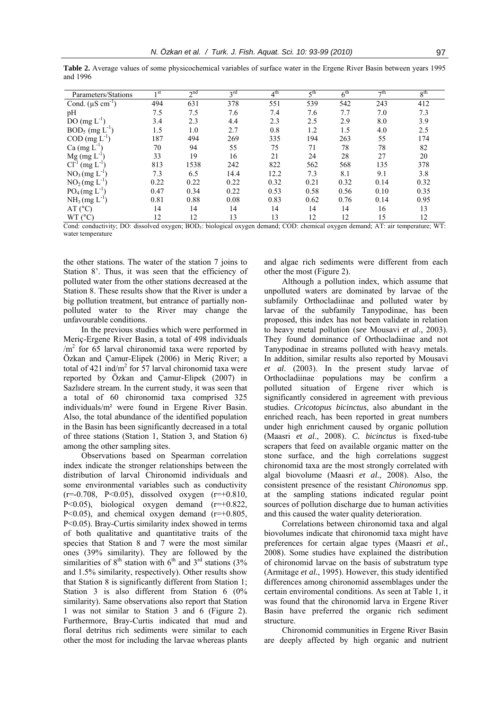| Parameters/Stations                                                                                                           | 1 <sup>st</sup> | $\gamma$ nd | $\gamma$ rd | 4 <sup>th</sup> | 5 <sup>th</sup> | $6^{\text{th}}$ | $\neg$ th | oth<br>Ō. |  |  |
|-------------------------------------------------------------------------------------------------------------------------------|-----------------|-------------|-------------|-----------------|-----------------|-----------------|-----------|-----------|--|--|
| Cond. $(\mu S \text{ cm}^{-1})$                                                                                               | 494             | 631         | 378         | 551             | 539             | 542             | 243       | 412       |  |  |
| pH                                                                                                                            | 7.5             | 7.5         | 7.6         | 7.4             | 7.6             | 7.7             | 7.0       | 7.3       |  |  |
| $DO(mg L-1)$                                                                                                                  | 3.4             | 2.3         | 4.4         | 2.3             | 2.5             | 2.9             | 8.0       | 3.9       |  |  |
| $BOD_5$ (mg $L^{-1}$ )                                                                                                        | 1.5             | 1.0         | 2.7         | 0.8             | 1.2             | 1.5             | 4.0       | 2.5       |  |  |
| $\text{COD}$ (mg $\text{L}^{-1}$ )                                                                                            | 187             | 494         | 269         | 335             | 194             | 263             | 55        | 174       |  |  |
| $Ca$ (mg $L^{-1}$                                                                                                             | 70              | 94          | 55          | 75              | 71              | 78              | 78        | 82        |  |  |
| $Mg$ (mg $L^{-1}$                                                                                                             | 33              | 19          | 16          | 21              | 24              | 28              | 27        | 20        |  |  |
| $Cl^{-1}$<br>$\text{ (mg L}^{-1})$                                                                                            | 813             | 1538        | 242         | 822             | 562             | 568             | 135       | 378       |  |  |
| $NO3 (mg L-1)$                                                                                                                | 7.3             | 6.5         | 14.4        | 12.2            | 7.3             | 8.1             | 9.1       | 3.8       |  |  |
| $NO2 (mg L-1)$                                                                                                                | 0.22            | 0.22        | 0.22        | 0.32            | 0.21            | 0.32            | 0.14      | 0.32      |  |  |
| $PO4$ (mg $L-1$                                                                                                               | 0.47            | 0.34        | 0.22        | 0.53            | 0.58            | 0.56            | 0.10      | 0.35      |  |  |
| $NH_3$ (mg $L^{-1}$ )                                                                                                         | 0.81            | 0.88        | 0.08        | 0.83            | 0.62            | 0.76            | 0.14      | 0.95      |  |  |
| AT (°C)                                                                                                                       | 14              | 14          | 14          | 14              | 14              | 14              | 16        | 13        |  |  |
| WT (°C)                                                                                                                       | 12              | 12          | 13          | 13              | 12              | 12              | 15        | 12        |  |  |
| Cond: conductivity: DO: dissolved ovvgan: ROD: biological ovvgan demand: COD: chamical ovvgan demand: AT: air temperature: WT |                 |             |             |                 |                 |                 |           |           |  |  |

**Table 2.** Average values of some physicochemical variables of surface water in the Ergene River Basin between years 1995 and 1996

ivity; DO: dissolved oxygen; BOD<sub>5</sub>: biological oxygen demand; COD: chemical oxygen demand; AT: air temperature; WT: water temperature

the other stations. The water of the station 7 joins to Station 8'. Thus, it was seen that the efficiency of polluted water from the other stations decreased at the Station 8. These results show that the River is under a big pollution treatment, but entrance of partially nonpolluted water to the River may change the unfavourable conditions.

In the previous studies which were performed in Meriç-Ergene River Basin, a total of 498 individuals  $/m<sup>2</sup>$  for 65 larval chironomid taxa were reported by Özkan and Çamur-Elipek (2006) in Meriç River; a total of 421 ind/ $m<sup>2</sup>$  for 57 larval chironomid taxa were reported by Özkan and Çamur-Elipek (2007) in Sazlıdere stream. In the current study, it was seen that a total of 60 chironomid taxa comprised 325 individuals/m² were found in Ergene River Basin. Also, the total abundance of the identified population in the Basin has been significantly decreased in a total of three stations (Station 1, Station 3, and Station 6) among the other sampling sites.

Observations based on Spearman correlation index indicate the stronger relationships between the distribution of larval Chironomid individuals and some environmental variables such as conductivity  $(r=0.708, P<0.05)$ , dissolved oxygen  $(r=+0.810,$ P<0.05), biological oxygen demand  $(r=+0.822)$ , P<0.05), and chemical oxygen demand  $(r=+0.805)$ , P<0.05). Bray-Curtis similarity index showed in terms of both qualitative and quantitative traits of the species that Station 8 and 7 were the most similar ones (39% similarity). They are followed by the similarities of  $8<sup>th</sup>$  station with  $6<sup>th</sup>$  and  $3<sup>rd</sup>$  stations (3%) and 1.5% similarity, respectively). Other results show that Station 8 is significantly different from Station 1; Station 3 is also different from Station 6 (0% similarity). Same observations also report that Station 1 was not similar to Station 3 and 6 (Figure 2). Furthermore, Bray-Curtis indicated that mud and floral detritus rich sediments were similar to each other the most for including the larvae whereas plants and algae rich sediments were different from each other the most (Figure 2).

Although a pollution index, which assume that unpolluted waters are dominated by larvae of the subfamily Orthocladiinae and polluted water by larvae of the subfamily Tanypodinae, has been proposed, this index has not been validate in relation to heavy metal pollution (*see* Mousavi *et al*., 2003). They found dominance of Orthocladiinae and not Tanypodinae in streams polluted with heavy metals. In addition, similar results also reported by Mousavi *et al*. (2003). In the present study larvae of Orthocladiinae populations may be confirm a polluted situation of Ergene river which is significantly considered in agreement with previous studies. *Cricotopus bicinctus*, also abundant in the enriched reach, has been reported in great numbers under high enrichment caused by organic pollution (Maasri *et al*., 2008). *C. bicinctus* is fixed-tube scrapers that feed on available organic matter on the stone surface, and the high correlations suggest chironomid taxa are the most strongly correlated with algal biovolume (Maasri *et al*., 2008). Also, the consistent presence of the resistant *Chironomus* spp. at the sampling stations indicated regular point sources of pollution discharge due to human activities and this caused the water quality deterioration.

Correlations between chironomid taxa and algal biovolumes indicate that chironomid taxa might have preferences for certain algae types (Maasri *et al.*, 2008). Some studies have explained the distribution of chironomid larvae on the basis of substratum type (Armitage *et al.*, 1995). However, this study identified differences among chironomid assemblages under the certain enviromental conditions. As seen at Table 1, it was found that the chironomid larva in Ergene River Basin have preferred the organic rich sediment structure.

Chironomid communities in Ergene River Basin are deeply affected by high organic and nutrient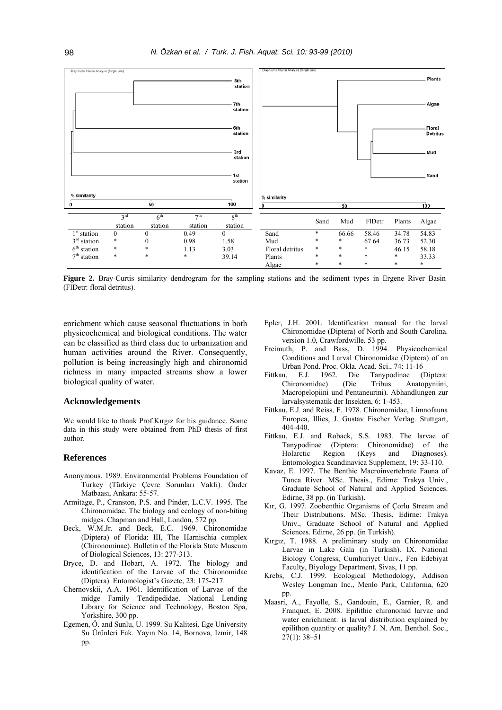

**Figure 2.** Bray-Curtis similarity dendrogram for the sampling stations and the sediment types in Ergene River Basin (FlDetr: floral detritus).

enrichment which cause seasonal fluctuations in both physicochemical and biological conditions. The water can be classified as third class due to urbanization and human activities around the River. Consequently, pollution is being increasingly high and chironomid richness in many impacted streams show a lower biological quality of water.

#### **Acknowledgements**

We would like to thank Prof.Kırgız for his guidance. Some data in this study were obtained from PhD thesis of first author.

#### **References**

- Anonymous. 1989. Environmental Problems Foundation of Turkey (Türkiye Çevre Sorunları Vakfı). Önder Matbaası, Ankara: 55-57.
- Armitage, P., Cranston, P.S. and Pinder, L.C.V. 1995. The Chironomidae. The biology and ecology of non-biting midges. Chapman and Hall, London, 572 pp.
- Beck, W.M.Jr. and Beck, E.C. 1969. Chironomidae (Diptera) of Florida: III, The Harnischia complex (Chironominae). Bulletin of the Florida State Museum of Biological Sciences, 13: 277-313.
- Bryce, D. and Hobart, A. 1972. The biology and identification of the Larvae of the Chironomidae (Diptera). Entomologist's Gazete, 23: 175-217.
- Chernovskii, A.A. 1961. Identification of Larvae of the midge Family Tendipedidae. National Lending Library for Science and Technology, Boston Spa, Yorkshire, 300 pp.
- Egemen, Ö. and Sunlu, U. 1999. Su Kalitesi. Ege University Su Ürünleri Fak. Yayın No. 14, Bornova, Izmir, 148 pp.
- Epler, J.H. 2001. Identification manual for the larval Chironomidae (Diptera) of North and South Carolina. version 1.0, Crawfordwille, 53 pp.
- Freimuth, P. and Bass, D. 1994. Physicochemical Conditions and Larval Chironomidae (Diptera) of an
- Urban Pond. Proc. Okla. Acad. Sci., 74: 11-16<br>Fittkau, E.J. 1962. Die Tanypodinae ( E.J. 1962. Die Tanypodinae (Diptera: Chironomidae) (Die Tribus Anatopyniini, Macropelopiini und Pentaneurini). Abhandlungen zur larvalsystematik der Insekten, 6: 1-453.
- Fittkau, E.J. and Reiss, F. 1978. Chironomidae, Limnofauna Europea, Illies, J. Gustav Fischer Verlag. Stuttgart, 404-440.
- Fittkau, E.J. and Roback, S.S. 1983. The larvae of Tanypodinae (Diptera: Chironomidae) of the Holarctic Region (Keys and Diagnoses). Entomologica Scandinavica Supplement, 19: 33-110.
- Kavaz, E. 1997. The Benthic Macroinvertebrate Fauna of Tunca River. MSc. Thesis., Edirne: Trakya Univ., Graduate School of Natural and Applied Sciences. Edirne, 38 pp. (in Turkish).
- Kır, G. 1997. Zoobenthic Organisms of Çorlu Stream and Their Distributions. MSc. Thesis, Edirne: Trakya Univ., Graduate School of Natural and Applied Sciences. Edirne, 26 pp. (in Turkish).
- Kırgız, T. 1988. A preliminary study on Chironomidae Larvae in Lake Gala (in Turkish). IX. National Biology Congress, Cumhuriyet Univ., Fen Edebiyat Faculty, Biyology Department, Sivas, 11 pp.
- Krebs, C.J. 1999. Ecological Methodology, Addison Wesley Longman Inc., Menlo Park, California, 620 pp.
- Maasri, A., Fayolle, S., Gandouin, E., Garnier, R. and Franquet, E. 2008. Epilithic chironomid larvae and water enrichment: is larval distribution explained by epilithon quantity or quality? J. N. Am. Benthol. Soc., 27(1): 38–51